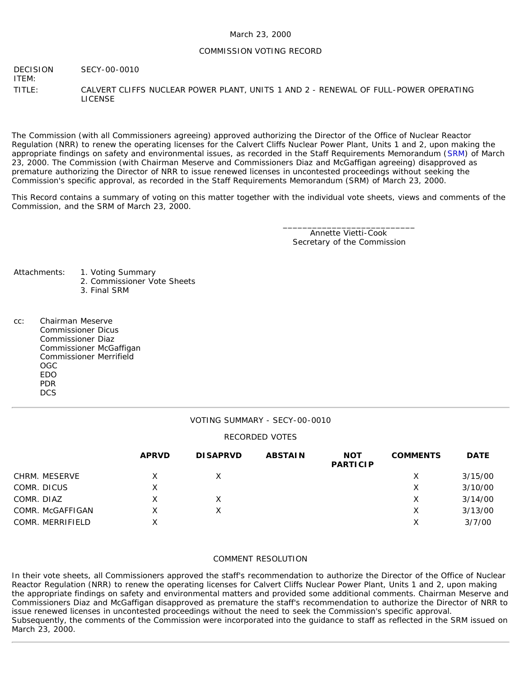### COMMISSION VOTING RECORD

DECISION ITEM: SECY-00-0010

TITLE: CALVERT CLIFFS NUCLEAR POWER PLANT, UNITS 1 AND 2 - RENEWAL OF FULL-POWER OPERATING LICENSE

The Commission (with all Commissioners agreeing) approved authorizing the Director of the Office of Nuclear Reactor Regulation (NRR) to renew the operating licenses for the Calvert Cliffs Nuclear Power Plant, Units 1 and 2, upon making the appropriate findings on safety and environmental issues, as recorded in the Staff Requirements Memorandum ([SRM](http://www.nrc.gov/reading-rm/doc-collections/commission/srm/2000/2000-0010srm.html)) of March 23, 2000. The Commission (with Chairman Meserve and Commissioners Diaz and McGaffigan agreeing) disapproved as premature authorizing the Director of NRR to issue renewed licenses in uncontested proceedings without seeking the Commission's specific approval, as recorded in the Staff Requirements Memorandum (SRM) of March 23, 2000.

This Record contains a summary of voting on this matter together with the individual vote sheets, views and comments of the Commission, and the SRM of March 23, 2000.

> \_\_\_\_\_\_\_\_\_\_\_\_\_\_\_\_\_\_\_\_\_\_\_\_\_\_\_ Annette Vietti-Cook Secretary of the Commission

Attachments: 1. Voting Summary

- 
- 2. Commissioner Vote Sheets
- 3. Final SRM
- cc: Chairman Meserve Commissioner Dicus Commissioner Diaz Commissioner McGaffigan Commissioner Merrifield OGC EDO PDR DCS

### VOTING SUMMARY - SECY-00-0010

### RECORDED VOTES

|                  | <b>APRVD</b> | <b>DISAPRVD</b> | <b>ABSTAIN</b> | <b>NOT</b><br><b>PARTICIP</b> | <b>COMMENTS</b> | <b>DATE</b> |
|------------------|--------------|-----------------|----------------|-------------------------------|-----------------|-------------|
| CHRM. MESERVE    |              |                 |                |                               | X               | 3/15/00     |
| COMR. DICUS      | х            |                 |                |                               | х               | 3/10/00     |
| COMR. DIAZ       |              |                 |                |                               | Χ               | 3/14/00     |
| COMR. McGAFFIGAN |              |                 |                |                               | Χ               | 3/13/00     |
| COMR. MERRIFIELD | X            |                 |                |                               | Χ               | 3/7/00      |

### COMMENT RESOLUTION

In their vote sheets, all Commissioners approved the staff's recommendation to authorize the Director of the Office of Nuclear Reactor Regulation (NRR) to renew the operating licenses for Calvert Cliffs Nuclear Power Plant, Units 1 and 2, upon making the appropriate findings on safety and environmental matters and provided some additional comments. Chairman Meserve and Commissioners Diaz and McGaffigan disapproved as premature the staff's recommendation to authorize the Director of NRR to issue renewed licenses in uncontested proceedings without the need to seek the Commission's specific approval. Subsequently, the comments of the Commission were incorporated into the guidance to staff as reflected in the SRM issued on March 23, 2000.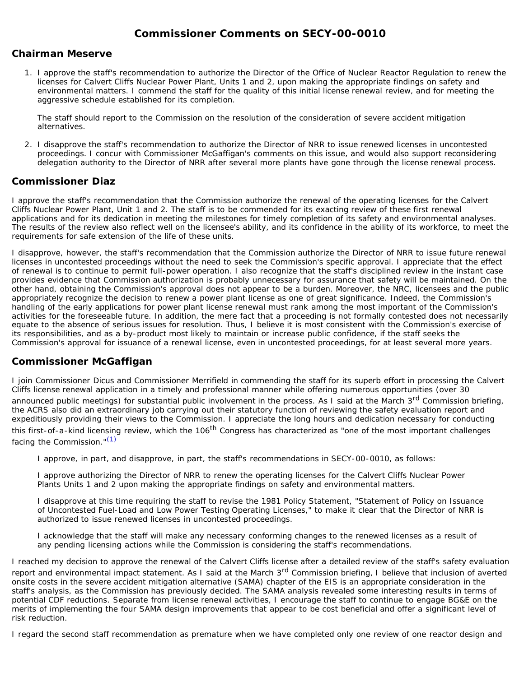# **Commissioner Comments on [SECY-00-0010](http://www.nrc.gov/reading-rm/doc-collections/commission/secys/2000/secy2000-0010/2000-0010scy.html)**

### **Chairman Meserve**

1. I approve the staff's recommendation to authorize the Director of the Office of Nuclear Reactor Regulation to renew the licenses for Calvert Cliffs Nuclear Power Plant, Units 1 and 2, upon making the appropriate findings on safety and environmental matters. I commend the staff for the quality of this initial license renewal review, and for meeting the aggressive schedule established for its completion.

The staff should report to the Commission on the resolution of the consideration of severe accident mitigation alternatives.

2. I disapprove the staff's recommendation to authorize the Director of NRR to issue renewed licenses in uncontested proceedings. I concur with Commissioner McGaffigan's comments on this issue, and would also support reconsidering delegation authority to the Director of NRR after several more plants have gone through the license renewal process.

## **Commissioner Diaz**

I approve the staff's recommendation that the Commission authorize the renewal of the operating licenses for the Calvert Cliffs Nuclear Power Plant, Unit 1 and 2. The staff is to be commended for its exacting review of these first renewal applications and for its dedication in meeting the milestones for timely completion of its safety and environmental analyses. The results of the review also reflect well on the licensee's ability, and its confidence in the ability of its workforce, to meet the requirements for safe extension of the life of these units.

I disapprove, however, the staff's recommendation that the Commission authorize the Director of NRR to issue future renewal licenses in uncontested proceedings without the need to seek the Commission's specific approval. I appreciate that the effect of renewal is to continue to permit full-power operation. I also recognize that the staff's disciplined review in the instant case provides evidence that Commission authorization is probably unnecessary for assurance that safety will be maintained. On the other hand, obtaining the Commission's approval does not appear to be a burden. Moreover, the NRC, licensees and the public appropriately recognize the decision to renew a power plant license as one of great significance. Indeed, the Commission's handling of the early applications for power plant license renewal must rank among the most important of the Commission's activities for the foreseeable future. In addition, the mere fact that a proceeding is not formally contested does not necessarily equate to the absence of serious issues for resolution. Thus, I believe it is most consistent with the Commission's exercise of its responsibilities, and as a by-product most likely to maintain or increase public confidence, if the staff seeks the Commission's approval for issuance of a renewal license, even in uncontested proceedings, for at least several more years.

## **Commissioner McGaffigan**

I join Commissioner Dicus and Commissioner Merrifield in commending the staff for its superb effort in processing the Calvert Cliffs license renewal application in a timely and professional manner while offering numerous opportunities (over 30

announced public meetings) for substantial public involvement in the process. As I said at the March 3<sup>rd</sup> Commission briefing, the ACRS also did an extraordinary job carrying out their statutory function of reviewing the safety evaluation report and expeditiously providing their views to the Commission. I appreciate the long hours and dedication necessary for conducting this first-of-a-kind licensing review, which the 106<sup>th</sup> Congress has characterized as "one of the most important challenges facing the Commission."[\(1\)](#page-2-0)

I approve, in part, and disapprove, in part, the staff's recommendations in SECY-00-0010, as follows:

I approve authorizing the Director of NRR to renew the operating licenses for the Calvert Cliffs Nuclear Power Plants Units 1 and 2 upon making the appropriate findings on safety and environmental matters.

I disapprove at this time requiring the staff to revise the 1981 Policy Statement, "Statement of Policy on Issuance of Uncontested Fuel-Load and Low Power Testing Operating Licenses," to make it clear that the Director of NRR is authorized to issue renewed licenses in uncontested proceedings.

I acknowledge that the staff will make any necessary conforming changes to the renewed licenses as a result of any pending licensing actions while the Commission is considering the staff's recommendations.

I reached my decision to approve the renewal of the Calvert Cliffs license after a detailed review of the staff's safety evaluation report and environmental impact statement. As I said at the March 3<sup>rd</sup> Commission briefing, I believe that inclusion of averted onsite costs in the severe accident mitigation alternative (SAMA) chapter of the EIS is an appropriate consideration in the staff's analysis, as the Commission has previously decided. The SAMA analysis revealed some interesting results in terms of potential CDF reductions. Separate from license renewal activities, I encourage the staff to continue to engage BG&E on the merits of implementing the four SAMA design improvements that appear to be cost beneficial and offer a significant level of risk reduction.

I regard the second staff recommendation as premature when we have completed only one review of one reactor design and